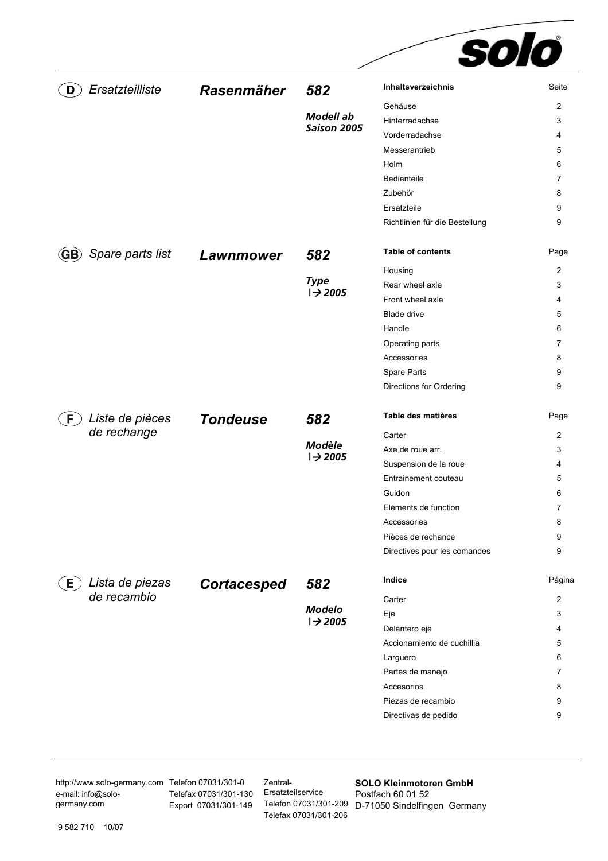|                          |                    |                                     | solo                           |                |
|--------------------------|--------------------|-------------------------------------|--------------------------------|----------------|
| Ersatzteilliste          | <b>Rasenmäher</b>  | 582                                 | Inhaltsverzeichnis             | Seite          |
|                          |                    |                                     | Gehäuse                        | 2              |
|                          |                    | <b>Modell</b> ab                    | Hinterradachse                 | 3              |
|                          |                    | Saison 2005                         | Vorderradachse                 | 4              |
|                          |                    |                                     | Messerantrieb                  | 5              |
|                          |                    |                                     | Holm                           | 6              |
|                          |                    |                                     | Bedienteile                    | 7              |
|                          |                    |                                     | Zubehör                        | 8              |
|                          |                    |                                     | Ersatzteile                    | 9              |
|                          |                    |                                     | Richtlinien für die Bestellung | 9              |
| Spare parts list         | <b>Lawnmower</b>   | 582                                 | <b>Table of contents</b>       | Page           |
|                          |                    |                                     | Housing                        | 2              |
|                          |                    | <b>Type</b>                         | Rear wheel axle                | 3              |
|                          |                    | $\rightarrow$ 2005                  | Front wheel axle               | 4              |
|                          |                    |                                     | <b>Blade drive</b>             | 5              |
|                          |                    |                                     | Handle                         | 6              |
|                          |                    |                                     | Operating parts                | 7              |
|                          |                    |                                     | Accessories                    | 8              |
|                          |                    |                                     | Spare Parts                    | 9              |
|                          |                    |                                     | Directions for Ordering        | 9              |
| Liste de pièces          | <b>Tondeuse</b>    | 582                                 | Table des matières             | Page           |
| de rechange              |                    |                                     | Carter                         | 2              |
|                          |                    | <b>Modèle</b><br>$\rightarrow$ 2005 | Axe de roue arr.               | 3              |
|                          |                    |                                     | Suspension de la roue          | 4              |
|                          |                    |                                     | Entrainement couteau           | 5              |
|                          |                    |                                     | Guidon                         | 6              |
|                          |                    |                                     | Eléments de function           | $\overline{7}$ |
|                          |                    |                                     | Accessories                    | 8              |
|                          |                    |                                     | Pièces de rechance             | 9              |
|                          |                    |                                     | Directives pour les comandes   | 9              |
| Lista de piezas<br>$E$ , | <b>Cortacesped</b> | 582                                 | Indice                         | Página         |
| de recambio              |                    |                                     | Carter                         | $\overline{2}$ |
|                          |                    | <b>Modelo</b><br>$\rightarrow$ 2005 | Eje                            | 3              |
|                          |                    |                                     | Delantero eje                  | 4              |
|                          |                    |                                     | Accionamiento de cuchillia     | 5              |
|                          |                    |                                     | Larguero                       | 6              |
|                          |                    |                                     | Partes de manejo               | 7              |
|                          |                    |                                     | Accesorios                     | 8              |
|                          |                    |                                     | Piezas de recambio             | 9              |
|                          |                    |                                     | Directivas de pedido           | 9              |
|                          |                    |                                     |                                |                |

http://www.solo-germany.com Telefon 07031/301-0 e-mail: info@sologermany.com

Telefax 07031/301-130 Ersatzteilservice Export 07031/301-149

Zentral-Telefax 07031/301-206

Telefon 07031/301-209 D-71050 Sindelfingen Germany **SOLO Kleinmotoren GmbH**  Postfach 60 01 52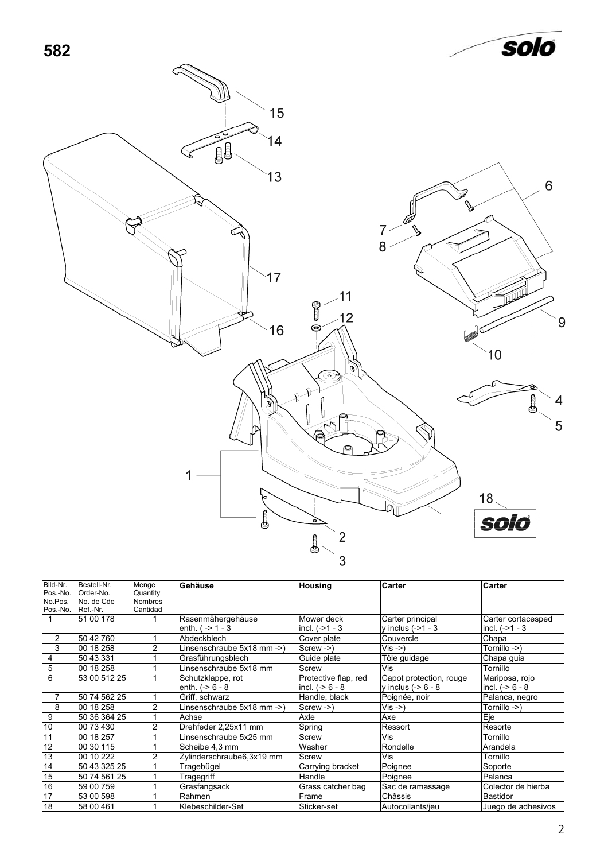<span id="page-1-0"></span>

| Bild-Nr.          | Bestell-Nr.  | Menge          | Gehäuse                    | <b>Housing</b>       | Carter                  | <b>Carter</b>         |
|-------------------|--------------|----------------|----------------------------|----------------------|-------------------------|-----------------------|
| Pos.-No.          | Order-No.    | Quantity       |                            |                      |                         |                       |
| No.Pos.           | No. de Cde   | <b>Nombres</b> |                            |                      |                         |                       |
| Pos.-No. Ref.-Nr. |              | Cantidad       |                            |                      |                         |                       |
|                   | 51 00 178    |                | Rasenmähergehäuse          | Mower deck           | Carter principal        | Carter cortacesped    |
|                   |              |                | enth. $(-2) - 3$           | incl. $(-21 - 3)$    | $v$ inclus (->1 - 3     | $ $ incl. $(->1 - 3)$ |
| $\overline{2}$    | 50 42 760    |                | Abdeckblech                | Cover plate          | Couvercle               | Chapa                 |
| 3                 | 00 18 258    | 2              | Linsenschraube 5x18 mm ->) | $Screw - \geq 0$     | Vis ->)                 | Tornillo ->)          |
| 4                 | 50 43 331    |                | Grasführungsblech          | Guide plate          | Tôle guidage            | Chapa guia            |
| 5                 | 00 18 258    |                | Linsenschraube 5x18 mm     | Screw                | Vis                     | Tornillo              |
| 6                 | 53 00 512 25 |                | Schutzklappe, rot          | Protective flap, red | Capot protection, rouge | Mariposa, rojo        |
|                   |              |                | enth. $(-56 - 8)$          | incl. $(-8 - 8 - 8)$ | y inclus $(-56 - 8)$    | incl. $(-56 - 8)$     |
| 7                 | 50 74 562 25 |                | Griff, schwarz             | Handle, black        | Poignée, noir           | Palanca, negro        |
| 8                 | 00 18 258    | 2              | Linsenschraube 5x18 mm ->) | Screw ->)            | $Vis ->)$               | Tornillo ->)          |
| 9                 | 50 36 364 25 |                | Achse                      | Axle                 | Axe                     | Eje                   |
| 10                | 00 73 430    | 2              | Drehfeder 2,25x11 mm       | Spring               | Ressort                 | Resorte               |
| 11                | 00 18 257    |                | Linsenschraube 5x25 mm     | Screw                | Vis                     | Tornillo              |
| $\overline{12}$   | 00 30 115    |                | Scheibe 4,3 mm             | Washer               | Rondelle                | Arandela              |
| $\overline{13}$   | 00 10 222    | 2              | Zylinderschraube6,3x19 mm  | Screw                | Vis                     | Tornillo              |
| 14                | 50 43 325 25 |                | Tragebügel                 | Carrying bracket     | Poignee                 | Soporte               |
| 15                | 50 74 561 25 |                | Tragegriff                 | Handle               | Poignee                 | Palanca               |
| 16                | 59 00 759    |                | Grasfangsack               | Grass catcher bag    | Sac de ramassage        | Colector de hierba    |
| 17                | 53 00 598    |                | Rahmen                     | Frame                | Châssis                 | Bastidor              |
| $\overline{18}$   | 58 00 461    |                | Klebeschilder-Set          | Sticker-set          | Autocollants/jeu        | Juego de adhesivos    |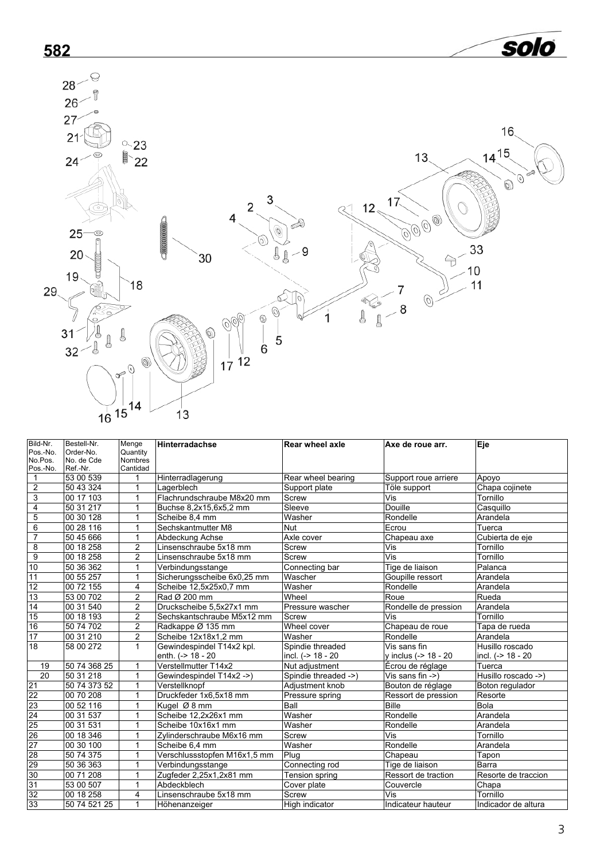<span id="page-2-0"></span>

| Bild-Nr.                 | Bestell-Nr.           | Menge                    | <b>Hinterradachse</b>        | <b>Rear wheel axle</b> | Axe de roue arr.     | Eje                 |
|--------------------------|-----------------------|--------------------------|------------------------------|------------------------|----------------------|---------------------|
| Pos.-No.                 | Order-No.             | Quantity                 |                              |                        |                      |                     |
| No.Pos.                  | No. de Cde            | <b>Nombres</b>           |                              |                        |                      |                     |
| Pos.-No.<br>$\mathbf{1}$ | Ref.-Nr.<br>53 00 539 | Cantidad<br>$\mathbf{1}$ | Hinterradlagerung            | Rear wheel bearing     | Support roue arriere | Apoyo               |
|                          |                       | $\mathbf{1}$             |                              |                        |                      |                     |
| $\overline{2}$           | 50 43 324             |                          | Lagerblech                   | Support plate          | Töle support         | Chapa cojinete      |
| $\overline{3}$           | 00 17 103             | $\mathbf{1}$             | Flachrundschraube M8x20 mm   | Screw                  | Vis                  | Tornillo            |
| $\overline{4}$           | 50 31 217             | $\mathbf{1}$             | Buchse 8,2x15,6x5,2 mm       | Sleeve                 | <b>Douille</b>       | Casquillo           |
| 5                        | 00 30 128             | $\mathbf{1}$             | Scheibe 8,4 mm               | Washer                 | Rondelle             | Arandela            |
| 6                        | 00 28 116             | 1                        | Sechskantmutter M8           | Nut                    | Ecrou                | Tuerca              |
| $\overline{7}$           | 50 45 666             | $\mathbf{1}$             | Abdeckung Achse              | Axle cover             | Chapeau axe          | Cubierta de eje     |
| $\overline{8}$           | 00 18 258             | $\overline{2}$           | Linsenschraube 5x18 mm       | Screw                  | Vis                  | Tornillo            |
| $\overline{9}$           | 00 18 258             | $\overline{2}$           | Linsenschraube 5x18 mm       | Screw                  | Vis                  | Tornillo            |
| 10                       | 50 36 362             | $\mathbf{1}$             | Verbindungsstange            | Connecting bar         | Tige de liaison      | Palanca             |
| 11                       | 00 55 257             | $\mathbf{1}$             | Sicherungsscheibe 6x0,25 mm  | Wascher                | Goupille ressort     | Arandela            |
| 12                       | 00 72 155             | 4                        | Scheibe 12,5x25x0,7 mm       | Washer                 | Rondelle             | Arandela            |
| 13                       | 53 00 702             | $\overline{2}$           | Rad Ø 200 mm                 | Wheel                  | Roue                 | Rueda               |
| 14                       | 00 31 540             | $\overline{2}$           | Druckscheibe 5,5x27x1 mm     | Pressure wascher       | Rondelle de pression | Arandela            |
| 15                       | 00 18 193             | $\overline{2}$           | Sechskantschraube M5x12 mm   | Screw                  | Vis                  | Tornillo            |
| 16                       | 50 74 702             | $\overline{2}$           | Radkappe Ø 135 mm            | Wheel cover            | Chapeau de roue      | Tapa de rueda       |
| 17                       | 00 31 210             | 2                        | Scheibe 12x18x1,2 mm         | Washer                 | Rondelle             | Arandela            |
| 18                       | 58 00 272             | $\mathbf{1}$             | Gewindespindel T14x2 kpl.    | Spindie threaded       | Vis sans fin         | Husillo roscado     |
|                          |                       |                          | enth. (-> 18 - 20            | incl. (-> 18 - 20      | y inclus (-> 18 - 20 | incl. (-> 18 - 20   |
| 19                       | 50 74 368 25          | 1                        | Verstellmutter T14x2         | Nut adjustment         | Écrou de réglage     | Tuerca              |
| 20                       | 50 31 218             | $\mathbf{1}$             | Gewindespindel T14x2 ->)     | Spindie threaded ->)   | Vis sans fin ->)     | Husillo roscado ->) |
| 21                       | 50 74 373 52          | $\mathbf{1}$             | Verstellknopf                | Adjustment knob        | Bouton de réglage    | Boton regulador     |
| 22                       | 00 70 208             | $\mathbf{1}$             | Druckfeder 1x6.5x18 mm       | Pressure spring        | Ressort de pression  | Resorte             |
| 23                       | 00 52 116             | $\mathbf{1}$             | Kugel Ø 8 mm                 | Ball                   | <b>Bille</b>         | Bola                |
| 24                       | 00 31 537             | 1                        | Scheibe 12.2x26x1 mm         | Washer                 | Rondelle             | Arandela            |
| 25                       | 00 31 531             | 1                        | Scheibe 10x16x1 mm           | Washer                 | Rondelle             | Arandela            |
| 26                       | 00 18 346             | $\mathbf{1}$             | Zylinderschraube M6x16 mm    | Screw                  | Vis                  | Tornillo            |
| 27                       | 00 30 100             | $\mathbf{1}$             | Scheibe 6,4 mm               | Washer                 | Rondelle             | Arandela            |
| 28                       | 50 74 375             | $\mathbf{1}$             | Verschlussstopfen M16x1,5 mm | Plug                   | Chapeau              | Tapon               |
| 29                       | 50 36 363             | $\mathbf{1}$             | Verbindungsstange            | Connecting rod         | Tige de liaison      | Barra               |
| 30                       | 00 71 208             | $\mathbf{1}$             | Zugfeder 2,25x1,2x81 mm      | Tension spring         | Ressort de traction  | Resorte de traccion |
| 31                       | 53 00 507             | $\mathbf{1}$             | Abdeckblech                  | Cover plate            | Couvercle            | Chapa               |
| 32                       | 00 18 258             | 4                        | Linsenschraube 5x18 mm       | Screw                  | Vis                  | Tornillo            |
| 33                       | 50 74 521 25          | 1                        | Höhenanzeiger                | High indicator         | Indicateur hauteur   | Indicador de altura |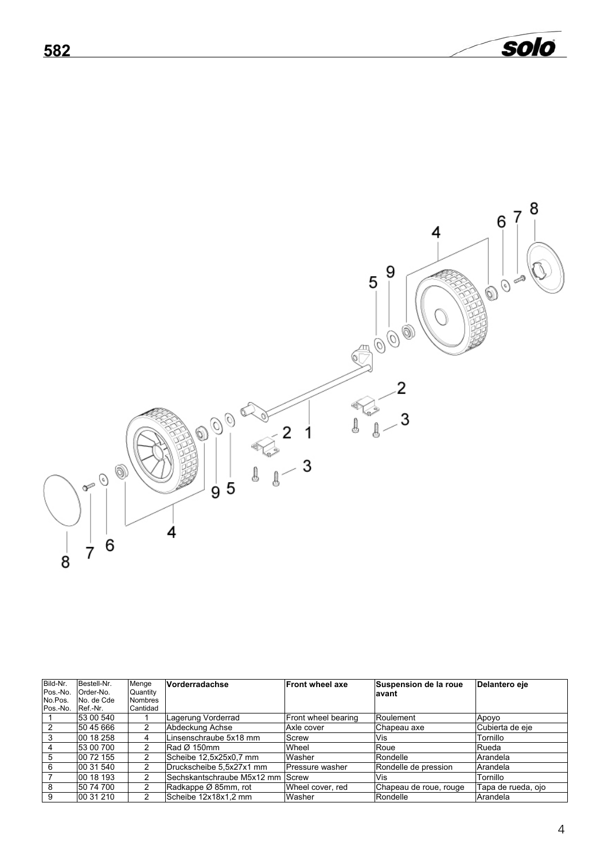<span id="page-3-1"></span><span id="page-3-0"></span>

| Bild-Nr. | Bestell-Nr. | Menge          | Vorderradachse             | <b>Front wheel axe</b> | Suspension de la roue  | Delantero eje      |
|----------|-------------|----------------|----------------------------|------------------------|------------------------|--------------------|
| Pos.-No. | Order-No.   | Quantity       |                            |                        | avant                  |                    |
| No.Pos.  | No. de Cde  | <b>Nombres</b> |                            |                        |                        |                    |
| Pos.-No. | Ref.-Nr.    | Cantidad       |                            |                        |                        |                    |
|          | 53 00 540   |                | Lagerung Vorderrad         | Front wheel bearing    | Roulement              | Apoyo              |
|          | 50 45 666   |                | Abdeckung Achse            | Axle cover             | Chapeau axe            | Cubierta de eje    |
|          | 00 18 258   | 4              | Linsenschraube 5x18 mm     | Screw                  | Vis                    | Tornillo           |
|          | 53 00 700   | 2              | Rad Ø 150mm                | Wheel                  | Roue                   | Rueda              |
| 5        | 00 72 155   | 2              | Scheibe 12,5x25x0,7 mm     | Washer                 | Rondelle               | Arandela           |
| 6        | 00 31 540   | 2              | Druckscheibe 5.5x27x1 mm   | Pressure washer        | Rondelle de pression   | Arandela           |
|          | 00 18 193   | 2              | Sechskantschraube M5x12 mm | Screw                  | Vis                    | Tornillo           |
| 8        | 50 74 700   | 2              | Radkappe Ø 85mm, rot       | Wheel cover, red       | Chapeau de roue, rouge | Tapa de rueda, ojo |
| 9        | 00 31 210   | 2              | Scheibe 12x18x1.2 mm       | Washer                 | Rondelle               | Arandela           |

solo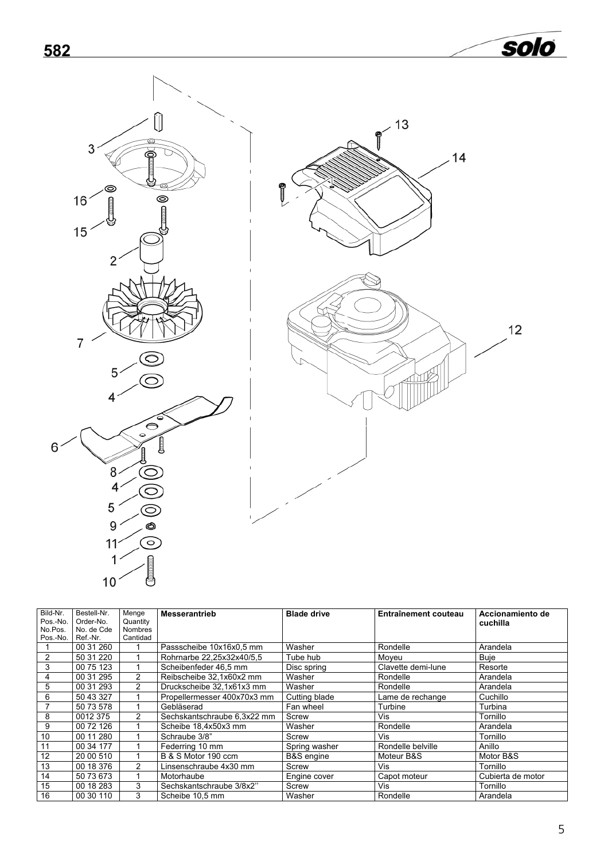<span id="page-4-1"></span><span id="page-4-0"></span>



solo

| Bild-Nr.       | Bestell-Nr. | Menge          | <b>Messerantrieb</b>        | <b>Blade drive</b>    | Entraînement couteau | Accionamiento de  |
|----------------|-------------|----------------|-----------------------------|-----------------------|----------------------|-------------------|
| Pos.-No.       | Order-No.   | Quantity       |                             |                       |                      | cuchilla          |
| No.Pos.        | No. de Cde  | <b>Nombres</b> |                             |                       |                      |                   |
| Pos.-No.       | Ref.-Nr.    | Cantidad       |                             |                       |                      |                   |
|                | 00 31 260   |                | Passscheibe 10x16x0.5 mm    | Washer                | Rondelle             | Arandela          |
| $\overline{2}$ | 50 31 220   |                | Rohrnarbe 22,25x32x40/5,5   | Tube hub              | Moyeu                | <b>Buje</b>       |
| 3              | 00 75 123   |                | Scheibenfeder 46.5 mm       | Disc spring           | Clavette demi-lune   | Resorte           |
| 4              | 00 31 295   | 2              | Reibscheibe 32.1x60x2 mm    | Washer                | Rondelle             | Arandela          |
| 5              | 00 31 293   | $\mathcal{P}$  | Druckscheibe 32,1x61x3 mm   | Washer                | Rondelle             | Arandela          |
| 6              | 50 43 327   |                | Propellermesser 400x70x3 mm | Cutting blade         | Lame de rechange     | Cuchillo          |
|                | 50 73 578   |                | Gebläserad                  | Fan wheel             | Turbine              | Turbina           |
| 8              | 0012 375    | $\mathcal{P}$  | Sechskantschraube 6,3x22 mm | Screw                 | Vis                  | Tornillo          |
| 9              | 00 72 126   |                | Scheibe 18.4x50x3 mm        | Washer                | Rondelle             | Arandela          |
| 10             | 00 11 280   |                | Schraube 3/8"               | Screw                 | Vis                  | Tornillo          |
| 11             | 00 34 177   |                | Federring 10 mm             | Spring washer         | Rondelle belville    | Anillo            |
| 12             | 20 00 510   |                | B & S Motor 190 ccm         | <b>B&amp;S</b> engine | Moteur B&S           | Motor B&S         |
| 13             | 00 18 376   | 2              | Linsenschraube 4x30 mm      | Screw                 | Vis                  | Tornillo          |
| 14             | 50 73 673   |                | Motorhaube                  | Engine cover          | Capot moteur         | Cubierta de motor |
| 15             | 00 18 283   | 3              | Sechskantschraube 3/8x2"    | Screw                 | Vis                  | Tornillo          |
| 16             | 00 30 110   | 3              | Scheibe 10,5 mm             | Washer                | Rondelle             | Arandela          |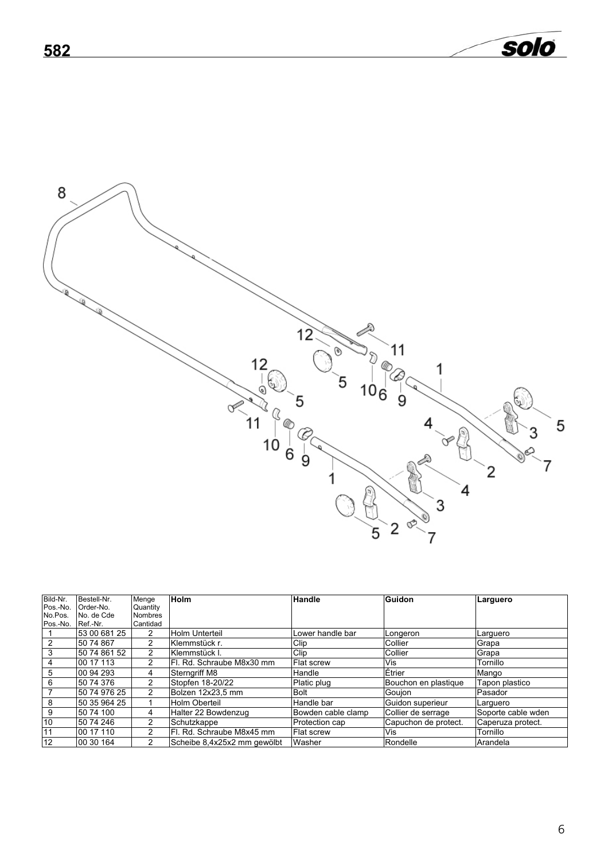

<span id="page-5-1"></span><span id="page-5-0"></span>**582** 

| Bild-Nr. | Bestell-Nr.  | Menge          | <b>Holm</b>                 | Handle             | Guidon               | Larguero           |
|----------|--------------|----------------|-----------------------------|--------------------|----------------------|--------------------|
| Pos.-No. | Order-No.    | Quantity       |                             |                    |                      |                    |
| No.Pos.  | No. de Cde   | <b>Nombres</b> |                             |                    |                      |                    |
| Pos.-No. | Ref.-Nr.     | Cantidad       |                             |                    |                      |                    |
|          | 53 00 681 25 | $\overline{2}$ | Holm Unterteil              | Lower handle bar   | Longeron             | Larquero           |
| 2        | 50 74 867    | 2              | Klemmstück r.               | Clip               | Collier              | Grapa              |
| 3        | 50 74 861 52 | 2              | Klemmstück I.               | Clip               | Collier              | <b>IGrapa</b>      |
| 4        | 00 17 113    | 2              | IFI. Rd. Schraube M8x30 mm  | <b>Flat screw</b>  | Vis                  | Tornillo           |
| 5        | 00 94 293    | 4              | <b>Sternariff M8</b>        | Handle             | Étrier               | Mango              |
| 6        | 50 74 376    | 2              | Stopfen 18-20/22            | Platic plug        | Bouchon en plastique | Tapon plastico     |
|          | 50 74 976 25 | 2              | Bolzen 12x23.5 mm           | <b>Bolt</b>        | <b>IGoujon</b>       | Pasador            |
| 8        | 50 35 964 25 |                | Holm Oberteil               | Handle bar         | Guidon superieur     | Larquero           |
| 9        | 50 74 100    | 4              | Halter 22 Bowdenzug         | Bowden cable clamp | Collier de serrage   | Soporte cable wden |
| 10       | 50 74 246    | 2              | Schutzkappe                 | Protection cap     | Capuchon de protect. | Caperuza protect.  |
| 11       | 00 17 110    | 2              | Fl. Rd. Schraube M8x45 mm   | <b>IFlat screw</b> | Vis                  | Tornillo           |
| 12       | 00 30 164    | 2              | Scheibe 8.4x25x2 mm gewölbt | Washer             | Rondelle             | Arandela           |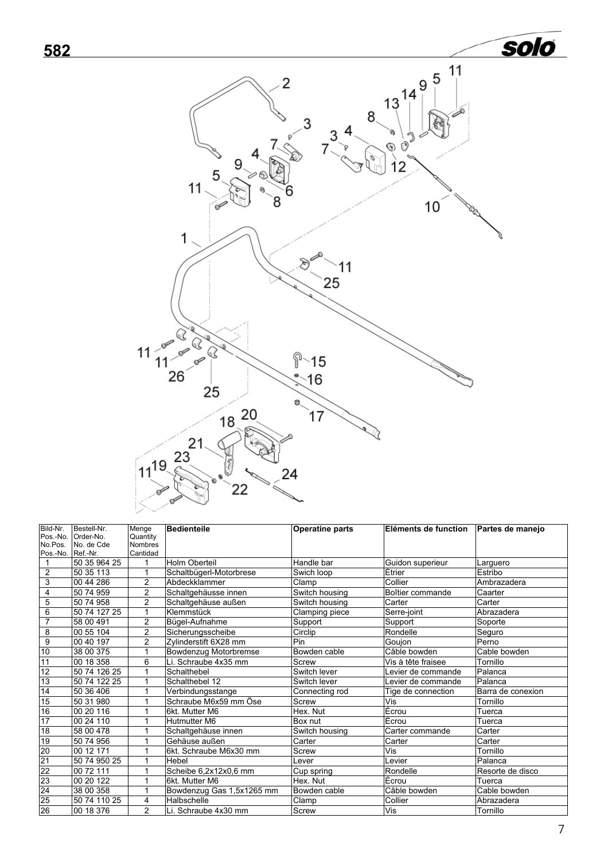<span id="page-6-0"></span>

| Bild-Nr.          | Bestell-Nr.  | Menge          | <b>Bedienteile</b>        | <b>Operatine parts</b> | Eléments de function | Partes de manejo  |
|-------------------|--------------|----------------|---------------------------|------------------------|----------------------|-------------------|
| Pos.-No.          | Order-No.    | Quantity       |                           |                        |                      |                   |
| No.Pos.           | No. de Cde   | <b>Nombres</b> |                           |                        |                      |                   |
| Pos.-No. Ref.-Nr. |              | Cantidad       |                           |                        |                      |                   |
|                   | 50 35 964 25 | 1              | Holm Oberteil             | Handle bar             | Guidon superieur     | Larguero          |
| $\overline{c}$    | 50 35 113    | 1              | Schaltbügerl-Motorbrese   | Swich loop             | Étrier               | Estribo           |
| 3                 | 00 44 286    | $\overline{2}$ | Abdeckklammer             | Clamp                  | Collier              | Ambrazadera       |
| 4                 | 50 74 959    | $\overline{2}$ | Schaltgehäusse innen      | Switch housing         | Boîtier commande     | Caarter           |
| 5                 | 50 74 958    | $\overline{2}$ | Schaltgehäuse außen       | Switch housing         | Carter               | Carter            |
| 6                 | 50 74 127 25 | 1              | Klemmstück                | Clamping piece         | Serre-joint          | Abrazadera        |
| 7                 | 58 00 491    | $\overline{2}$ | Bügel-Aufnahme            | Support                | Support              | Soporte           |
| 8                 | 00 55 104    | $\overline{2}$ | Sicherungsscheibe         | Circlip                | Rondelle             | Seguro            |
| $\overline{9}$    | 00 40 197    | $\overline{2}$ | Zylinderstift 6X28 mm     | Pin                    | Goujon               | Perno             |
| 10                | 38 00 375    | 1              | Bowdenzug Motorbremse     | Bowden cable           | Câble bowden         | Cable bowden      |
| 11                | 00 18 358    | 6              | Li. Schraube 4x35 mm      | Screw                  | Vis à tête fraisee   | Tornillo          |
| 12                | 50 74 126 25 | 1              | Schalthebel               | Switch lever           | Levier de commande   | Palanca           |
| 13                | 50 74 122 25 |                | Schalthebel 12            | Switch lever           | Levier de commande   | Palanca           |
| 14                | 50 36 406    | 1              | Verbindungsstange         | Connecting rod         | Tige de connection   | Barra de conexion |
| 15                | 50 31 980    | 1              | Schraube M6x59 mm Öse     | Screw                  | Vis                  | Tornillo          |
| 16                | 00 20 116    | 1              | 6kt. Mutter M6            | Hex. Nut               | Écrou                | Tuerca            |
| $\overline{17}$   | 00 24 110    | 1              | Hutmutter M6              | Box nut                | Écrou                | Tuerca            |
| 18                | 58 00 478    | 1              | Schaltgehäuse innen       | Switch housing         | Carter commande      | Carter            |
| 19                | 50 74 956    | 1              | Gehäuse außen             | Carter                 | Carter               | Carter            |
| 20                | 00 12 171    |                | 6kt. Schraube M6x30 mm    | Screw                  | Vis                  | Tornillo          |
| 21                | 50 74 950 25 | 1              | Hebel                     | Lever                  | Levier               | Palanca           |
| 22                | 00 72 111    |                | Scheibe 6,2x12x0,6 mm     | Cup spring             | Rondelle             | Resorte de disco  |
| 23                | 00 20 122    | 1              | 6kt. Mutter M6            | Hex. Nut               | Écrou                | Tuerca            |
| 24                | 38 00 358    | 1              | Bowdenzug Gas 1,5x1265 mm | Bowden cable           | Câble bowden         | Cable bowden      |
| 25                | 50 74 110 25 | 4              | Halbschelle               | Clamp                  | Collier              | Abrazadera        |
| 26                | 00 18 376    | $\overline{2}$ | Li. Schraube 4x30 mm      | Screw                  | Vis                  | Tornillo          |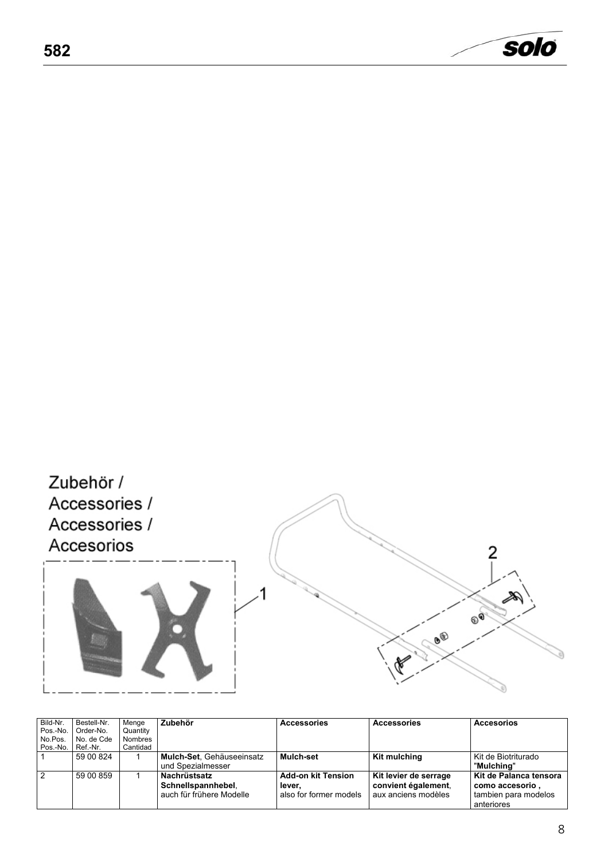<span id="page-7-0"></span>

<span id="page-7-1"></span>

| Bild-Nr.<br>Pos.-No.<br>No.Pos.<br>Pos.-No. | Bestell-Nr.<br>Order-No.<br>No. de Cde<br>Ref.-Nr. | Menge<br>Quantity<br>Nombres<br>Cantidad | Zubehör                                                        | <b>Accessories</b>                                            | <b>Accessories</b>                                                  | <b>Accesorios</b>                                                                  |
|---------------------------------------------|----------------------------------------------------|------------------------------------------|----------------------------------------------------------------|---------------------------------------------------------------|---------------------------------------------------------------------|------------------------------------------------------------------------------------|
|                                             | 59 00 824                                          |                                          | Mulch-Set. Gehäuseeinsatz<br>und Spezialmesser                 | Mulch-set                                                     | Kit mulching                                                        | l Kit de Biotriturado<br>"Mulchina"                                                |
| 2                                           | 59 00 859                                          |                                          | Nachrüstsatz<br>Schnellspannhebel.<br>auch für frühere Modelle | <b>Add-on kit Tension</b><br>lever.<br>also for former models | Kit levier de serrage<br>convient également.<br>aux anciens modèles | Kit de Palanca tensora<br>, como accesorio  <br>tambien para modelos<br>anteriores |